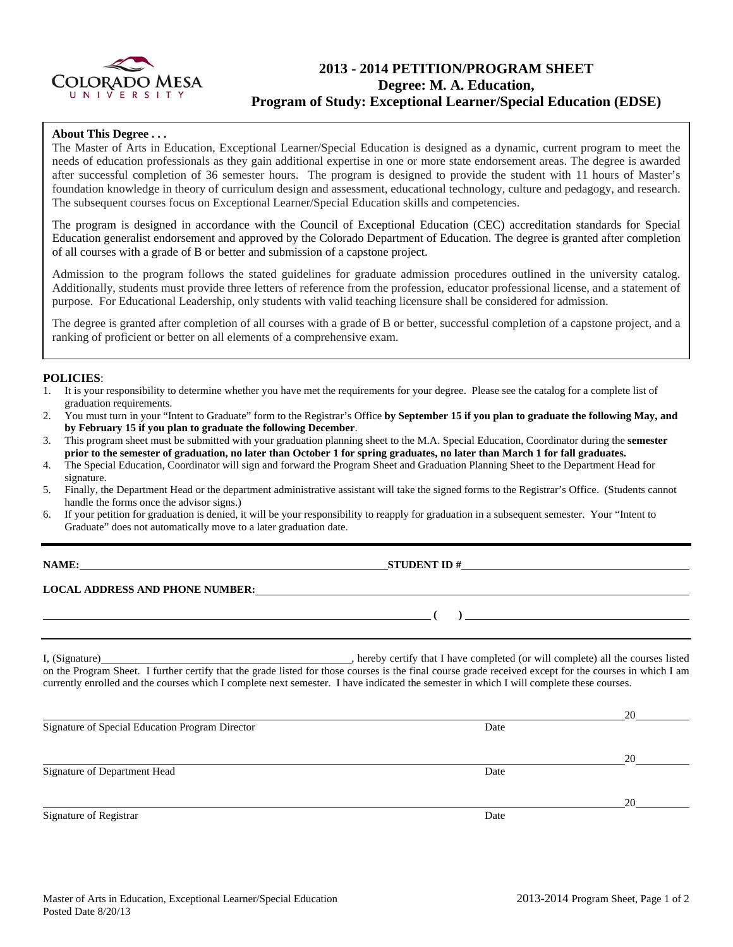

# **2013 - 2014 PETITION/PROGRAM SHEET Degree: M. A. Education, Program of Study: Exceptional Learner/Special Education (EDSE)**

## **About This Degree . . .**

The Master of Arts in Education, Exceptional Learner/Special Education is designed as a dynamic, current program to meet the needs of education professionals as they gain additional expertise in one or more state endorsement areas. The degree is awarded after successful completion of 36 semester hours. The program is designed to provide the student with 11 hours of Master's foundation knowledge in theory of curriculum design and assessment, educational technology, culture and pedagogy, and research. The subsequent courses focus on Exceptional Learner/Special Education skills and competencies.

The program is designed in accordance with the Council of Exceptional Education (CEC) accreditation standards for Special Education generalist endorsement and approved by the Colorado Department of Education. The degree is granted after completion of all courses with a grade of B or better and submission of a capstone project.

Admission to the program follows the stated guidelines for graduate admission procedures outlined in the university catalog. Additionally, students must provide three letters of reference from the profession, educator professional license, and a statement of purpose. For Educational Leadership, only students with valid teaching licensure shall be considered for admission.

The degree is granted after completion of all courses with a grade of B or better, successful completion of a capstone project, and a ranking of proficient or better on all elements of a comprehensive exam.

## **POLICIES**:

- 1. It is your responsibility to determine whether you have met the requirements for your degree. Please see the catalog for a complete list of graduation requirements.
- 2. You must turn in your "Intent to Graduate" form to the Registrar's Office **by September 15 if you plan to graduate the following May, and by February 15 if you plan to graduate the following December**.
- 3. This program sheet must be submitted with your graduation planning sheet to the M.A. Special Education, Coordinator during the **semester prior to the semester of graduation, no later than October 1 for spring graduates, no later than March 1 for fall graduates.**
- 4. The Special Education, Coordinator will sign and forward the Program Sheet and Graduation Planning Sheet to the Department Head for signature.
- 5. Finally, the Department Head or the department administrative assistant will take the signed forms to the Registrar's Office. (Students cannot handle the forms once the advisor signs.)
- 6. If your petition for graduation is denied, it will be your responsibility to reapply for graduation in a subsequent semester. Your "Intent to Graduate" does not automatically move to a later graduation date.

**NAME: STUDENT ID #** 

## **LOCAL ADDRESS AND PHONE NUMBER:**

I, (Signature) , hereby certify that I have completed (or will complete) all the courses listed on the Program Sheet. I further certify that the grade listed for those courses is the final course grade received except for the courses in which I am currently enrolled and the courses which I complete next semester. I have indicated the semester in which I will complete these courses.

|                                                 |      | 20 |
|-------------------------------------------------|------|----|
| Signature of Special Education Program Director | Date |    |
|                                                 |      |    |
|                                                 |      | 20 |
| Signature of Department Head                    | Date |    |
|                                                 |      |    |
|                                                 |      | 20 |
| Signature of Registrar                          | Date |    |

 **( )**